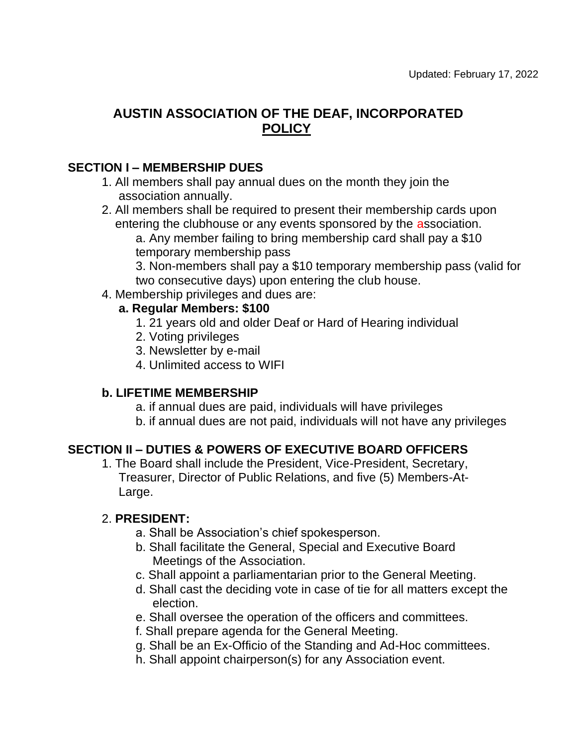# **AUSTIN ASSOCIATION OF THE DEAF, INCORPORATED POLICY**

### **SECTION I – MEMBERSHIP DUES**

- 1. All members shall pay annual dues on the month they join the association annually.
- 2. All members shall be required to present their membership cards upon entering the clubhouse or any events sponsored by the association.

a. Any member failing to bring membership card shall pay a \$10 temporary membership pass

3. Non-members shall pay a \$10 temporary membership pass (valid for two consecutive days) upon entering the club house.

4. Membership privileges and dues are:

#### **a. Regular Members: \$100**

- 1. 21 years old and older Deaf or Hard of Hearing individual
- 2. Voting privileges
- 3. Newsletter by e-mail
- 4. Unlimited access to WIFI

### **b. LIFETIME MEMBERSHIP**

a. if annual dues are paid, individuals will have privileges

b. if annual dues are not paid, individuals will not have any privileges

### **SECTION II – DUTIES & POWERS OF EXECUTIVE BOARD OFFICERS**

1. The Board shall include the President, Vice-President, Secretary, Treasurer, Director of Public Relations, and five (5) Members-At-Large.

### 2. **PRESIDENT:**

- a. Shall be Association's chief spokesperson.
- b. Shall facilitate the General, Special and Executive Board Meetings of the Association.
- c. Shall appoint a parliamentarian prior to the General Meeting.
- d. Shall cast the deciding vote in case of tie for all matters except the election.
- e. Shall oversee the operation of the officers and committees.
- f. Shall prepare agenda for the General Meeting.
- g. Shall be an Ex-Officio of the Standing and Ad-Hoc committees.
- h. Shall appoint chairperson(s) for any Association event.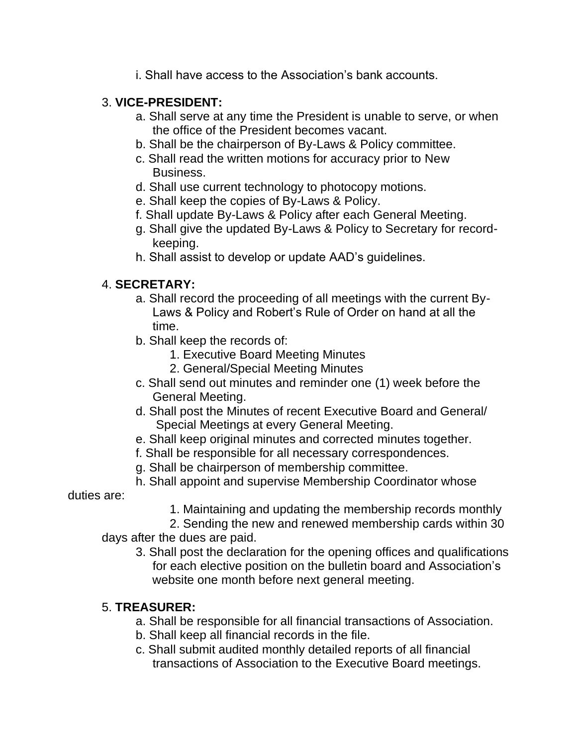i. Shall have access to the Association's bank accounts.

### 3. **VICE-PRESIDENT:**

- a. Shall serve at any time the President is unable to serve, or when the office of the President becomes vacant.
- b. Shall be the chairperson of By-Laws & Policy committee.
- c. Shall read the written motions for accuracy prior to New Business.
- d. Shall use current technology to photocopy motions.
- e. Shall keep the copies of By-Laws & Policy.
- f. Shall update By-Laws & Policy after each General Meeting.
- g. Shall give the updated By-Laws & Policy to Secretary for recordkeeping.
- h. Shall assist to develop or update AAD's guidelines.

### 4. **SECRETARY:**

- a. Shall record the proceeding of all meetings with the current By-Laws & Policy and Robert's Rule of Order on hand at all the time.
- b. Shall keep the records of:
	- 1. Executive Board Meeting Minutes
	- 2. General/Special Meeting Minutes
- c. Shall send out minutes and reminder one (1) week before the General Meeting.
- d. Shall post the Minutes of recent Executive Board and General/ Special Meetings at every General Meeting.
- e. Shall keep original minutes and corrected minutes together.
- f. Shall be responsible for all necessary correspondences.
- g. Shall be chairperson of membership committee.
- h. Shall appoint and supervise Membership Coordinator whose

duties are:

1. Maintaining and updating the membership records monthly

2. Sending the new and renewed membership cards within 30 days after the dues are paid.

3. Shall post the declaration for the opening offices and qualifications for each elective position on the bulletin board and Association's website one month before next general meeting.

### 5. **TREASURER:**

- a. Shall be responsible for all financial transactions of Association.
- b. Shall keep all financial records in the file.
- c. Shall submit audited monthly detailed reports of all financial transactions of Association to the Executive Board meetings.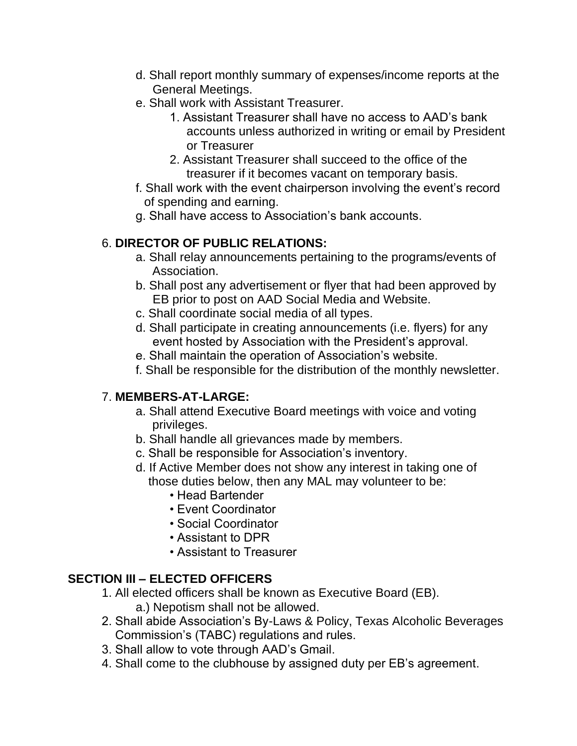- d. Shall report monthly summary of expenses/income reports at the General Meetings.
- e. Shall work with Assistant Treasurer.
	- 1. Assistant Treasurer shall have no access to AAD's bank accounts unless authorized in writing or email by President or Treasurer
	- 2. Assistant Treasurer shall succeed to the office of the treasurer if it becomes vacant on temporary basis.
- f. Shall work with the event chairperson involving the event's record of spending and earning.
- g. Shall have access to Association's bank accounts.

# 6. **DIRECTOR OF PUBLIC RELATIONS:**

- a. Shall relay announcements pertaining to the programs/events of Association.
- b. Shall post any advertisement or flyer that had been approved by EB prior to post on AAD Social Media and Website.
- c. Shall coordinate social media of all types.
- d. Shall participate in creating announcements (i.e. flyers) for any event hosted by Association with the President's approval.
- e. Shall maintain the operation of Association's website.
- f. Shall be responsible for the distribution of the monthly newsletter.

# 7. **MEMBERS-AT-LARGE:**

- a. Shall attend Executive Board meetings with voice and voting privileges.
- b. Shall handle all grievances made by members.
- c. Shall be responsible for Association's inventory.
- d. If Active Member does not show any interest in taking one of those duties below, then any MAL may volunteer to be:
	- Head Bartender
	- Event Coordinator
	- Social Coordinator
	- Assistant to DPR
	- Assistant to Treasurer

# **SECTION III – ELECTED OFFICERS**

- 1. All elected officers shall be known as Executive Board (EB). a.) Nepotism shall not be allowed.
- 2. Shall abide Association's By-Laws & Policy, Texas Alcoholic Beverages Commission's (TABC) regulations and rules.
- 3. Shall allow to vote through AAD's Gmail.
- 4. Shall come to the clubhouse by assigned duty per EB's agreement.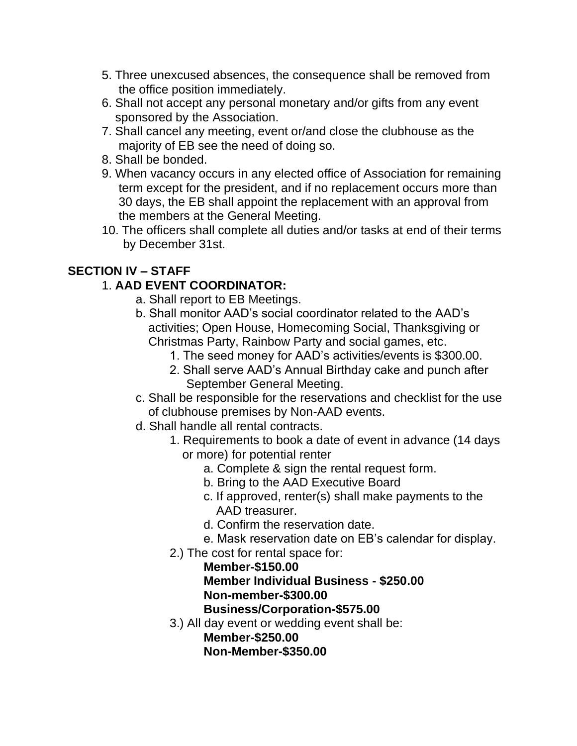- 5. Three unexcused absences, the consequence shall be removed from the office position immediately.
- 6. Shall not accept any personal monetary and/or gifts from any event sponsored by the Association.
- 7. Shall cancel any meeting, event or/and close the clubhouse as the majority of EB see the need of doing so.
- 8. Shall be bonded.
- 9. When vacancy occurs in any elected office of Association for remaining term except for the president, and if no replacement occurs more than 30 days, the EB shall appoint the replacement with an approval from the members at the General Meeting.
- 10. The officers shall complete all duties and/or tasks at end of their terms by December 31st.

### **SECTION IV – STAFF**

## 1. **AAD EVENT COORDINATOR:**

- a. Shall report to EB Meetings.
- b. Shall monitor AAD's social coordinator related to the AAD's activities; Open House, Homecoming Social, Thanksgiving or Christmas Party, Rainbow Party and social games, etc.
	- 1. The seed money for AAD's activities/events is \$300.00.
	- 2. Shall serve AAD's Annual Birthday cake and punch after September General Meeting.
- c. Shall be responsible for the reservations and checklist for the use of clubhouse premises by Non-AAD events.
- d. Shall handle all rental contracts.
	- 1. Requirements to book a date of event in advance (14 days or more) for potential renter
		- a. Complete & sign the rental request form.
		- b. Bring to the AAD Executive Board
		- c. If approved, renter(s) shall make payments to the AAD treasurer.
		- d. Confirm the reservation date.
		- e. Mask reservation date on EB's calendar for display.
	- 2.) The cost for rental space for:

### **Member-\$150.00**

# **Member Individual Business - \$250.00 Non-member-\$300.00**

**Business/Corporation-\$575.00**

3.) All day event or wedding event shall be:

**Member-\$250.00 Non-Member-\$350.00**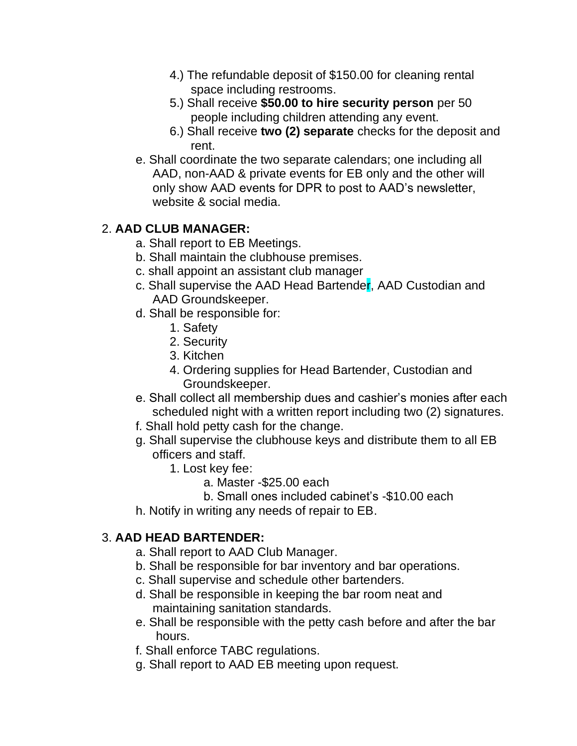- 4.) The refundable deposit of \$150.00 for cleaning rental space including restrooms.
- 5.) Shall receive **\$50.00 to hire security person** per 50 people including children attending any event.
- 6.) Shall receive **two (2) separate** checks for the deposit and rent.
- e. Shall coordinate the two separate calendars; one including all AAD, non-AAD & private events for EB only and the other will only show AAD events for DPR to post to AAD's newsletter, website & social media.

# 2. **AAD CLUB MANAGER:**

- a. Shall report to EB Meetings.
- b. Shall maintain the clubhouse premises.
- c. shall appoint an assistant club manager
- c. Shall supervise the AAD Head Bartender, AAD Custodian and AAD Groundskeeper.
- d. Shall be responsible for:
	- 1. Safety
	- 2. Security
	- 3. Kitchen
	- 4. Ordering supplies for Head Bartender, Custodian and Groundskeeper.
- e. Shall collect all membership dues and cashier's monies after each scheduled night with a written report including two (2) signatures.
- f. Shall hold petty cash for the change.
- g. Shall supervise the clubhouse keys and distribute them to all EB officers and staff.
	- 1. Lost key fee:
		- a. Master -\$25.00 each
		- b. Small ones included cabinet's -\$10.00 each
- h. Notify in writing any needs of repair to EB.

# 3. **AAD HEAD BARTENDER:**

- a. Shall report to AAD Club Manager.
- b. Shall be responsible for bar inventory and bar operations.
- c. Shall supervise and schedule other bartenders.
- d. Shall be responsible in keeping the bar room neat and maintaining sanitation standards.
- e. Shall be responsible with the petty cash before and after the bar hours.
- f. Shall enforce TABC regulations.
- g. Shall report to AAD EB meeting upon request.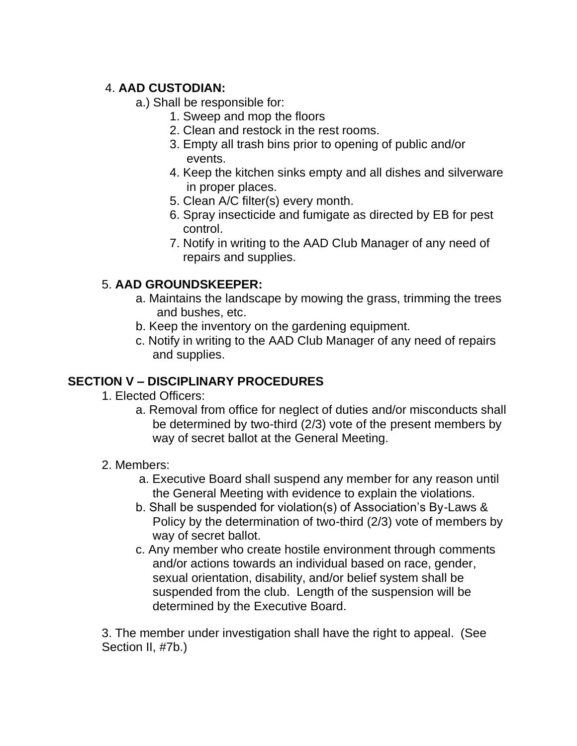### 4. **AAD CUSTODIAN:**

- a.) Shall be responsible for:
	- 1. Sweep and mop the floors
	- 2. Clean and restock in the rest rooms.
	- 3. Empty all trash bins prior to opening of public and/or events.
	- 4. Keep the kitchen sinks empty and all dishes and silverware in proper places.
	- 5. Clean A/C filter(s) every month.
	- 6. Spray insecticide and fumigate as directed by EB for pest control.
	- 7. Notify in writing to the AAD Club Manager of any need of repairs and supplies.

### 5. **AAD GROUNDSKEEPER:**

- a. Maintains the landscape by mowing the grass, trimming the trees and bushes, etc.
- b. Keep the inventory on the gardening equipment.
- c. Notify in writing to the AAD Club Manager of any need of repairs and supplies.

# **SECTION V – DISCIPLINARY PROCEDURES**

- 1. Elected Officers:
	- a. Removal from office for neglect of duties and/or misconducts shall be determined by two-third (2/3) vote of the present members by way of secret ballot at the General Meeting.
- 2. Members:
	- a. Executive Board shall suspend any member for any reason until the General Meeting with evidence to explain the violations.
	- b. Shall be suspended for violation(s) of Association's By-Laws & Policy by the determination of two-third (2/3) vote of members by way of secret ballot.
	- c. Any member who create hostile environment through comments and/or actions towards an individual based on race, gender, sexual orientation, disability, and/or belief system shall be suspended from the club. Length of the suspension will be determined by the Executive Board.

3. The member under investigation shall have the right to appeal. (See Section II, #7b.)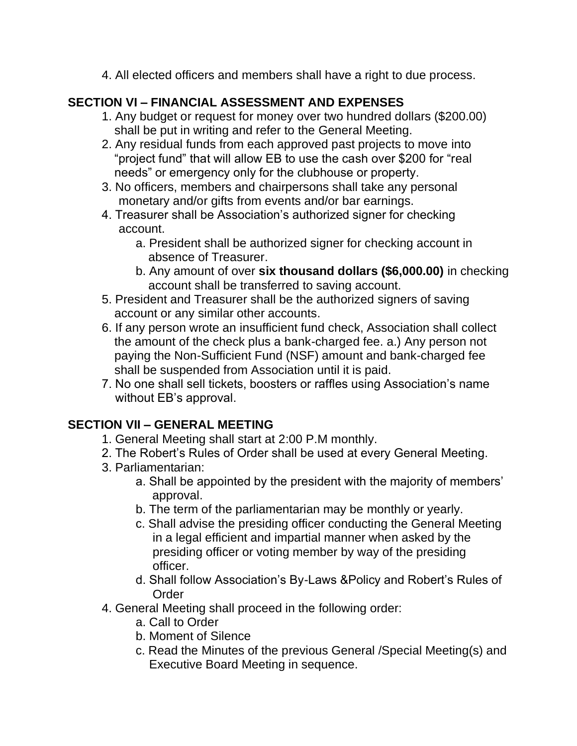4. All elected officers and members shall have a right to due process.

### **SECTION VI – FINANCIAL ASSESSMENT AND EXPENSES**

- 1. Any budget or request for money over two hundred dollars (\$200.00) shall be put in writing and refer to the General Meeting.
- 2. Any residual funds from each approved past projects to move into "project fund" that will allow EB to use the cash over \$200 for "real needs" or emergency only for the clubhouse or property.
- 3. No officers, members and chairpersons shall take any personal monetary and/or gifts from events and/or bar earnings.
- 4. Treasurer shall be Association's authorized signer for checking account.
	- a. President shall be authorized signer for checking account in absence of Treasurer.
	- b. Any amount of over **six thousand dollars (\$6,000.00)** in checking account shall be transferred to saving account.
- 5. President and Treasurer shall be the authorized signers of saving account or any similar other accounts.
- 6. If any person wrote an insufficient fund check, Association shall collect the amount of the check plus a bank-charged fee. a.) Any person not paying the Non-Sufficient Fund (NSF) amount and bank-charged fee shall be suspended from Association until it is paid.
- 7. No one shall sell tickets, boosters or raffles using Association's name without EB's approval.

### **SECTION VII – GENERAL MEETING**

- 1. General Meeting shall start at 2:00 P.M monthly.
- 2. The Robert's Rules of Order shall be used at every General Meeting.
- 3. Parliamentarian:
	- a. Shall be appointed by the president with the majority of members' approval.
	- b. The term of the parliamentarian may be monthly or yearly.
	- c. Shall advise the presiding officer conducting the General Meeting in a legal efficient and impartial manner when asked by the presiding officer or voting member by way of the presiding officer.
	- d. Shall follow Association's By-Laws &Policy and Robert's Rules of Order
- 4. General Meeting shall proceed in the following order:
	- a. Call to Order
	- b. Moment of Silence
	- c. Read the Minutes of the previous General /Special Meeting(s) and Executive Board Meeting in sequence.